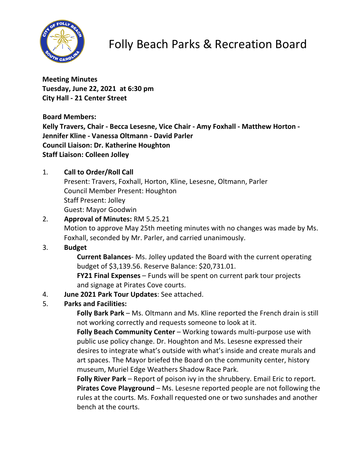

# Folly Beach Parks & Recreation Board

**Meeting Minutes Tuesday, June 22, 2021 at 6:30 pm City Hall - 21 Center Street**

**Board Members:**

**Kelly Travers, Chair - Becca Lesesne, Vice Chair - Amy Foxhall - Matthew Horton - Jennifer Kline - Vanessa Oltmann - David Parler Council Liaison: Dr. Katherine Houghton Staff Liaison: Colleen Jolley**

# 1. **Call to Order/Roll Call**

Present: Travers, Foxhall, Horton, Kline, Lesesne, Oltmann, Parler Council Member Present: Houghton Staff Present: Jolley Guest: Mayor Goodwin

## 2. **Approval of Minutes:** RM 5.25.21 Motion to approve May 25th meeting minutes with no changes was made by Ms.

Foxhall, seconded by Mr. Parler, and carried unanimously.

# 3. **Budget**

**Current Balances**- Ms. Jolley updated the Board with the current operating budget of \$3,139.56. Reserve Balance: \$20,731.01.

**FY21 Final Expenses** – Funds will be spent on current park tour projects and signage at Pirates Cove courts.

## 4. **June 2021 Park Tour Updates**: See attached.

## 5. **Parks and Facilities:**

**Folly Bark Park** – Ms. Oltmann and Ms. Kline reported the French drain is still not working correctly and requests someone to look at it.

**Folly Beach Community Center** – Working towards multi-purpose use with public use policy change. Dr. Houghton and Ms. Lesesne expressed their desires to integrate what's outside with what's inside and create murals and art spaces. The Mayor briefed the Board on the community center, history museum, Muriel Edge Weathers Shadow Race Park.

**Folly River Park** – Report of poison ivy in the shrubbery. Email Eric to report. **Pirates Cove Playground** – Ms. Lesesne reported people are not following the rules at the courts. Ms. Foxhall requested one or two sunshades and another bench at the courts.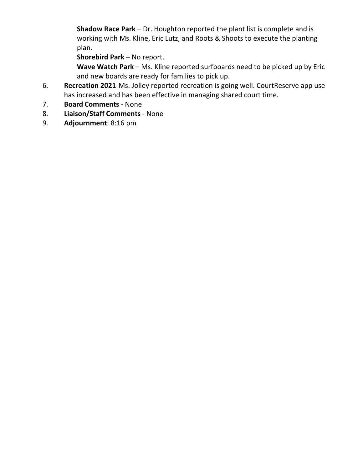**Shadow Race Park** – Dr. Houghton reported the plant list is complete and is working with Ms. Kline, Eric Lutz, and Roots & Shoots to execute the planting plan.

**Shorebird Park** – No report.

**Wave Watch Park** – Ms. Kline reported surfboards need to be picked up by Eric and new boards are ready for families to pick up.

- 6. **Recreation 2021**-Ms. Jolley reported recreation is going well. CourtReserve app use has increased and has been effective in managing shared court time.
- 7. **Board Comments** None
- 8. **Liaison/Staff Comments** None
- 9. **Adjournment**: 8:16 pm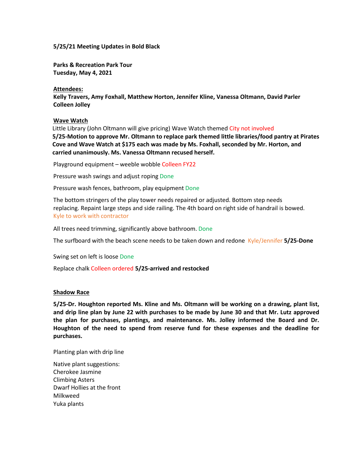#### **5/25/21 Meeting Updates in Bold Black**

**Parks & Recreation Park Tour Tuesday, May 4, 2021**

**Attendees:**

**Kelly Travers, Amy Foxhall, Matthew Horton, Jennifer Kline, Vanessa Oltmann, David Parler Colleen Jolley**

**Wave Watch**

Little Library (John Oltmann will give pricing) Wave Watch themed City not involved **5/25-Motion to approve Mr. Oltmann to replace park themed little libraries/food pantry at Pirates Cove and Wave Watch at \$175 each was made by Ms. Foxhall, seconded by Mr. Horton, and carried unanimously. Ms. Vanessa Oltmann recused herself.**

Playground equipment – weeble wobble Colleen FY22

Pressure wash swings and adjust roping Done

Pressure wash fences, bathroom, play equipment Done

The bottom stringers of the play tower needs repaired or adjusted. Bottom step needs replacing. Repaint large steps and side railing. The 4th board on right side of handrail is bowed. Kyle to work with contractor

All trees need trimming, significantly above bathroom. Done

The surfboard with the beach scene needs to be taken down and redone Kyle/Jennifer **5/25-Done**

Swing set on left is loose Done

Replace chalk Colleen ordered **5/25-arrived and restocked** 

#### **Shadow Race**

**5/25-Dr. Houghton reported Ms. Kline and Ms. Oltmann will be working on a drawing, plant list, and drip line plan by June 22 with purchases to be made by June 30 and that Mr. Lutz approved the plan for purchases, plantings, and maintenance. Ms. Jolley informed the Board and Dr. Houghton of the need to spend from reserve fund for these expenses and the deadline for purchases.** 

Planting plan with drip line

Native plant suggestions: Cherokee Jasmine Climbing Asters Dwarf Hollies at the front Milkweed Yuka plants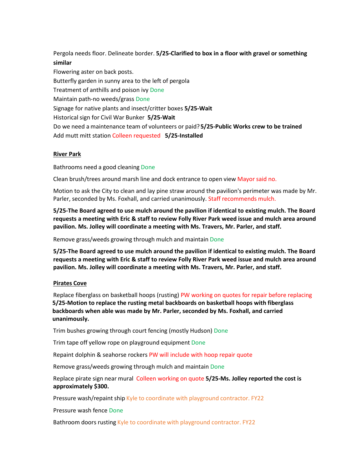Pergola needs floor. Delineate border. **5/25-Clarified to box in a floor with gravel or something similar**

Flowering aster on back posts. Butterfly garden in sunny area to the left of pergola Treatment of anthills and poison ivy Done Maintain path-no weeds/grass Done Signage for native plants and insect/critter boxes **5/25-Wait** Historical sign for Civil War Bunker **5/25-Wait** Do we need a maintenance team of volunteers or paid? **5/25-Public Works crew to be trained**  Add mutt mitt station Colleen requested **5/25-Installed** 

## **River Park**

Bathrooms need a good cleaning Done

Clean brush/trees around marsh line and dock entrance to open view Mayor said no.

Motion to ask the City to clean and lay pine straw around the pavilion's perimeter was made by Mr. Parler, seconded by Ms. Foxhall, and carried unanimously. Staff recommends mulch.

**5/25-The Board agreed to use mulch around the pavilion if identical to existing mulch. The Board requests a meeting with Eric & staff to review Folly River Park weed issue and mulch area around pavilion. Ms. Jolley will coordinate a meeting with Ms. Travers, Mr. Parler, and staff.**

Remove grass/weeds growing through mulch and maintain Done

**5/25-The Board agreed to use mulch around the pavilion if identical to existing mulch. The Board requests a meeting with Eric & staff to review Folly River Park weed issue and mulch area around pavilion. Ms. Jolley will coordinate a meeting with Ms. Travers, Mr. Parler, and staff.**

### **Pirates Cove**

Replace fiberglass on basketball hoops (rusting) PW working on quotes for repair before replacing **5/25-Motion to replace the rusting metal backboards on basketball hoops with fiberglass backboards when able was made by Mr. Parler, seconded by Ms. Foxhall, and carried unanimously.**

Trim bushes growing through court fencing (mostly Hudson) Done

Trim tape off yellow rope on playground equipment Done

Repaint dolphin & seahorse rockers PW will include with hoop repair quote

Remove grass/weeds growing through mulch and maintain Done

Replace pirate sign near mural Colleen working on quote **5/25-Ms. Jolley reported the cost is approximately \$300.**

Pressure wash/repaint ship Kyle to coordinate with playground contractor. FY22

Pressure wash fence Done

Bathroom doors rusting Kyle to coordinate with playground contractor. FY22